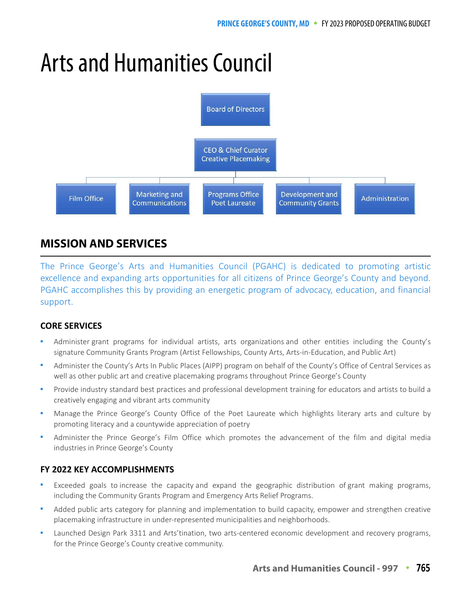# Arts and Humanities Council



# **MISSION AND SERVICES**

The Prince George's Arts and Humanities Council (PGAHC) is dedicated to promoting artistic excellence and expanding arts opportunities for all citizens of Prince George's County and beyond. PGAHC accomplishes this by providing an energetic program of advocacy, education, and financial support.

## **CORE SERVICES**

- Administer grant programs for individual artists, arts organizations and other entities including the County's signature Community Grants Program (Artist Fellowships, County Arts, Arts-in-Education, and Public Art)
- Administer the County's Arts In Public Places (AIPP) program on behalf of the County's Office of Central Services as well as other public art and creative placemaking programs throughout Prince George's County
- Provide industry standard best practices and professional development training for educators and artists to build a creatively engaging and vibrant arts community
- Manage the Prince George's County Office of the Poet Laureate which highlights literary arts and culture by promoting literacy and a countywide appreciation of poetry
- Administer the Prince George's Film Office which promotes the advancement of the film and digital media industries in Prince George's County

## **FY 2022 KEY ACCOMPLISHMENTS**

- Exceeded goals to increase the capacity and expand the geographic distribution of grant making programs, including the Community Grants Program and Emergency Arts Relief Programs.
- Added public arts category for planning and implementation to build capacity, empower and strengthen creative placemaking infrastructure in under-represented municipalities and neighborhoods.
- Launched Design Park 3311 and Arts'tination, two arts-centered economic development and recovery programs, for the Prince George's County creative community.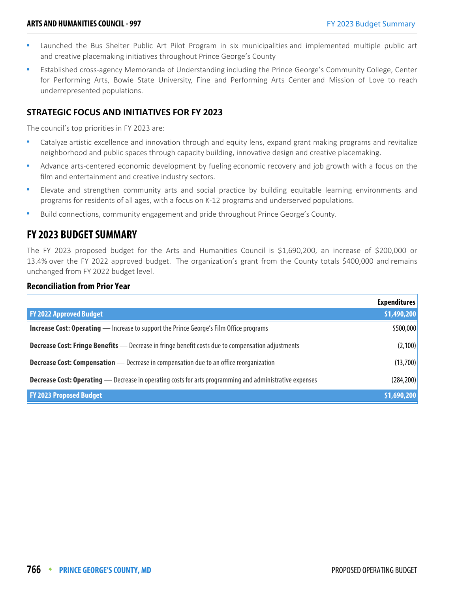- Launched the Bus Shelter Public Art Pilot Program in six municipalities and implemented multiple public art and creative placemaking initiatives throughout Prince George's County
- Established cross-agency Memoranda of Understanding including the Prince George's Community College, Center for Performing Arts, Bowie State University, Fine and Performing Arts Center and Mission of Love to reach underrepresented populations.

#### **STRATEGIC FOCUS AND INITIATIVES FOR FY 2023**

The council's top priorities in FY 2023 are:

- Catalyze artistic excellence and innovation through and equity lens, expand grant making programs and revitalize neighborhood and public spaces through capacity building, innovative design and creative placemaking.
- Advance arts-centered economic development by fueling economic recovery and job growth with a focus on the film and entertainment and creative industry sectors.
- **Elevate and strengthen community arts and social practice by building equitable learning environments and** programs for residents of all ages, with a focus on K-12 programs and underserved populations.
- Build connections, community engagement and pride throughout Prince George's County.

## **FY 2023 BUDGET SUMMARY**

The FY 2023 proposed budget for the Arts and Humanities Council is \$1,690,200, an increase of \$200,000 or 13.4% over the FY 2022 approved budget. The organization's grant from the County totals \$400,000 and remains unchanged from FY 2022 budget level.

#### **Reconciliation from Prior Year**

|                                                                                                                | <b>Expenditures</b> |
|----------------------------------------------------------------------------------------------------------------|---------------------|
| <b>FY 2022 Approved Budget</b>                                                                                 | \$1,490,200         |
| <b>Increase Cost: Operating</b> — Increase to support the Prince George's Film Office programs                 | \$500,000           |
| <b>Decrease Cost: Fringe Benefits</b> - Decrease in fringe benefit costs due to compensation adjustments       | (2,100)             |
| <b>Decrease Cost: Compensation</b> - Decrease in compensation due to an office reorganization                  | (13,700)            |
| <b>Decrease Cost: Operating</b> — Decrease in operating costs for arts programming and administrative expenses | (284, 200)          |
| <b>FY 2023 Proposed Budget</b>                                                                                 | \$1,690,200         |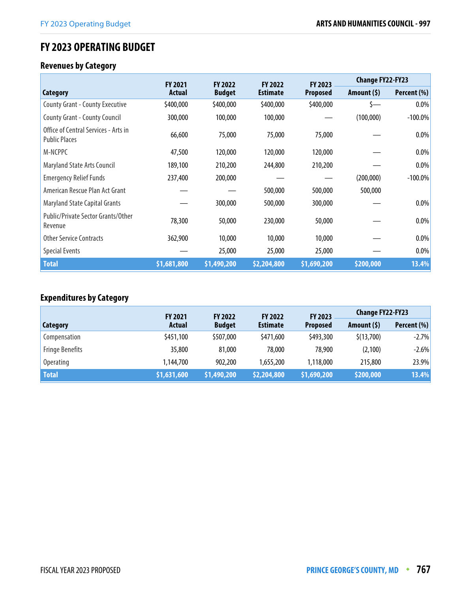# **FY 2023 OPERATING BUDGET**

## **Revenues by Category**

|                                                              | <b>FY 2021</b> | <b>FY 2022</b> | <b>FY 2022</b>  | <b>FY 2023</b>  | <b>Change FY22-FY23</b> |             |
|--------------------------------------------------------------|----------------|----------------|-----------------|-----------------|-------------------------|-------------|
| Category                                                     | <b>Actual</b>  | <b>Budget</b>  | <b>Estimate</b> | <b>Proposed</b> | Amount $(5)$            | Percent (%) |
| <b>County Grant - County Executive</b>                       | \$400,000      | \$400,000      | \$400,000       | \$400,000       |                         | 0.0%        |
| <b>County Grant - County Council</b>                         | 300,000        | 100,000        | 100,000         |                 | (100,000)               | $-100.0\%$  |
| Office of Central Services - Arts in<br><b>Public Places</b> | 66,600         | 75,000         | 75,000          | 75,000          |                         | 0.0%        |
| M-NCPPC                                                      | 47,500         | 120,000        | 120,000         | 120,000         |                         | 0.0%        |
| <b>Maryland State Arts Council</b>                           | 189,100        | 210,200        | 244,800         | 210,200         |                         | $0.0\%$     |
| <b>Emergency Relief Funds</b>                                | 237,400        | 200,000        |                 |                 | (200,000)               | $-100.0\%$  |
| American Rescue Plan Act Grant                               |                |                | 500,000         | 500,000         | 500,000                 |             |
| <b>Maryland State Capital Grants</b>                         |                | 300,000        | 500,000         | 300,000         |                         | 0.0%        |
| Public/Private Sector Grants/Other<br>Revenue                | 78,300         | 50,000         | 230,000         | 50,000          |                         | 0.0%        |
| <b>Other Service Contracts</b>                               | 362,900        | 10,000         | 10,000          | 10,000          |                         | 0.0%        |
| <b>Special Events</b>                                        |                | 25,000         | 25,000          | 25,000          |                         | 0.0%        |
| <b>Total</b>                                                 | \$1,681,800    | \$1,490,200    | \$2,204,800     | \$1,690,200     | \$200,000               | 13.4%       |

# **Expenditures by Category**

|                        | <b>FY 2021</b> | <b>FY 2022</b> | <b>FY 2022</b>  | FY 2023         | <b>Change FY22-FY23</b> |             |
|------------------------|----------------|----------------|-----------------|-----------------|-------------------------|-------------|
| Category               | Actual         | <b>Budget</b>  | <b>Estimate</b> | <b>Proposed</b> | Amount $(5)$            | Percent (%) |
| Compensation           | \$451,100      | \$507,000      | \$471,600       | \$493,300       | \$(13,700)              | $-2.7%$     |
| <b>Fringe Benefits</b> | 35,800         | 81,000         | 78,000          | 78,900          | (2,100)                 | $-2.6%$     |
| <b>Operating</b>       | 1,144,700      | 902,200        | 1,655,200       | 1,118,000       | 215,800                 | 23.9%       |
| <b>Total</b>           | \$1,631,600    | \$1,490,200    | \$2,204,800     | \$1,690,200     | \$200,000               | 13.4%       |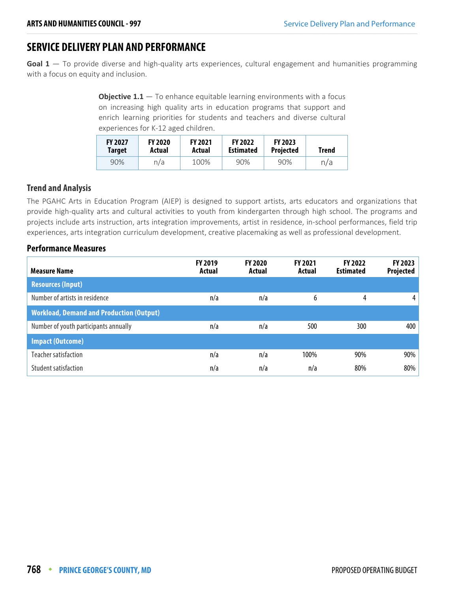# **SERVICE DELIVERY PLAN AND PERFORMANCE**

**Goal 1** — To provide diverse and high-quality arts experiences, cultural engagement and humanities programming with a focus on equity and inclusion.

> **Objective 1.1** – To enhance equitable learning environments with a focus on increasing high quality arts in education programs that support and enrich learning priorities for students and teachers and diverse cultural experiences for K-12 aged children.

| <b>FY 2027</b><br>Target | <b>FY 2020</b><br>Actual | <b>FY 2021</b><br>Actual | <b>FY 2022</b><br><b>Estimated</b> | <b>FY 2023</b><br><b>Projected</b> | <b>Trend</b> |
|--------------------------|--------------------------|--------------------------|------------------------------------|------------------------------------|--------------|
| 90%                      | n/a                      | 100%                     | 90%                                | 90%                                | n/a          |

#### **Trend and Analysis**

The PGAHC Arts in Education Program (AIEP) is designed to support artists, arts educators and organizations that provide high-quality arts and cultural activities to youth from kindergarten through high school. The programs and projects include arts instruction, arts integration improvements, artist in residence, in-school performances, field trip experiences, arts integration curriculum development, creative placemaking as well as professional development.

| <b>Measure Name</b>                             | <b>FY 2019</b><br>Actual | <b>FY 2020</b><br>Actual | <b>FY 2021</b><br>Actual | <b>FY 2022</b><br><b>Estimated</b> | <b>FY 2023</b><br>Projected |
|-------------------------------------------------|--------------------------|--------------------------|--------------------------|------------------------------------|-----------------------------|
| <b>Resources (Input)</b>                        |                          |                          |                          |                                    |                             |
| Number of artists in residence                  | n/a                      | n/a                      | 6                        | 4                                  | 4                           |
| <b>Workload, Demand and Production (Output)</b> |                          |                          |                          |                                    |                             |
| Number of youth participants annually           | n/a                      | n/a                      | 500                      | 300                                | 400                         |
| <b>Impact (Outcome)</b>                         |                          |                          |                          |                                    |                             |
| Teacher satisfaction                            | n/a                      | n/a                      | 100%                     | 90%                                | 90%                         |
| Student satisfaction                            | n/a                      | n/a                      | n/a                      | 80%                                | 80%                         |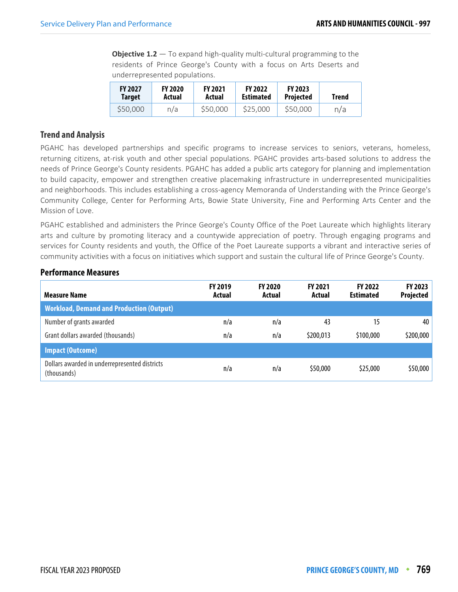**Objective 1.2** – To expand high-quality multi-cultural programming to the residents of Prince George's County with a focus on Arts Deserts and underrepresented populations.

| <b>FY 2027</b> | <b>FY 2020</b> | <b>FY 2021</b> | <b>FY 2022</b>   | <b>FY 2023</b>   | <b>Trend</b> |
|----------------|----------------|----------------|------------------|------------------|--------------|
| Target         | Actual         | Actual         | <b>Estimated</b> | <b>Projected</b> |              |
| \$50,000       | n/a            | \$50,000       | \$25,000         | \$50,000         | n/a          |

#### **Trend and Analysis**

PGAHC has developed partnerships and specific programs to increase services to seniors, veterans, homeless, returning citizens, at-risk youth and other special populations. PGAHC provides arts-based solutions to address the needs of Prince George's County residents. PGAHC has added a public arts category for planning and implementation to build capacity, empower and strengthen creative placemaking infrastructure in underrepresented municipalities and neighborhoods. This includes establishing a cross-agency Memoranda of Understanding with the Prince George's Community College, Center for Performing Arts, Bowie State University, Fine and Performing Arts Center and the Mission of Love.

PGAHC established and administers the Prince George's County Office of the Poet Laureate which highlights literary arts and culture by promoting literacy and a countywide appreciation of poetry. Through engaging programs and services for County residents and youth, the Office of the Poet Laureate supports a vibrant and interactive series of community activities with a focus on initiatives which support and sustain the cultural life of Prince George's County.

| <b>Measure Name</b>                                          | <b>FY 2019</b><br>Actual | <b>FY 2020</b><br>Actual | <b>FY 2021</b><br>Actual | <b>FY 2022</b><br><b>Estimated</b> | FY 2023<br><b>Projected</b> |
|--------------------------------------------------------------|--------------------------|--------------------------|--------------------------|------------------------------------|-----------------------------|
| <b>Workload, Demand and Production (Output)</b>              |                          |                          |                          |                                    |                             |
| Number of grants awarded                                     | n/a                      | n/a                      | 43                       | 15                                 | 40                          |
| Grant dollars awarded (thousands)                            | n/a                      | n/a                      | \$200,013                | \$100,000                          | \$200,000                   |
| <b>Impact (Outcome)</b>                                      |                          |                          |                          |                                    |                             |
| Dollars awarded in underrepresented districts<br>(thousands) | n/a                      | n/a                      | \$50,000                 | \$25,000                           | \$50,000                    |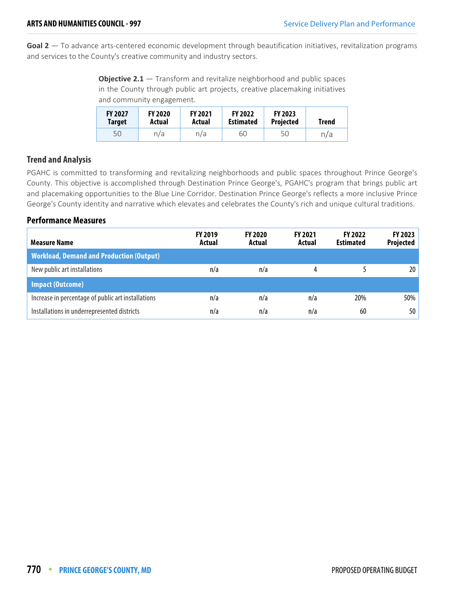**Goal 2** — To advance arts-centered economic development through beautification initiatives, revitalization programs and services to the County's creative community and industry sectors.

**Objective 2.1** – Transform and revitalize neighborhood and public spaces in the County through public art projects, creative placemaking initiatives and community engagement.

| <b>FY 2027</b><br><b>Target</b> | <b>FY 2020</b><br>Actual | <b>FY 2021</b><br>Actual | <b>FY 2022</b><br><b>Estimated</b> | <b>FY 2023</b><br><b>Projected</b> | <b>Trend</b> |
|---------------------------------|--------------------------|--------------------------|------------------------------------|------------------------------------|--------------|
| 50                              | n/a                      | n/a                      | 60                                 | 50                                 | n/a          |

#### **Trend and Analysis**

PGAHC is committed to transforming and revitalizing neighborhoods and public spaces throughout Prince George's County. This objective is accomplished through Destination Prince George's, PGAHC's program that brings public art and placemaking opportunities to the Blue Line Corridor. Destination Prince George's reflects a more inclusive Prince George's County identity and narrative which elevates and celebrates the County's rich and unique cultural traditions.

| <b>Measure Name</b>                                | <b>FY 2019</b><br>Actual | <b>FY 2020</b><br>Actual | <b>FY 2021</b><br>Actual | <b>FY 2022</b><br><b>Estimated</b> | FY 2023<br><b>Projected</b> |
|----------------------------------------------------|--------------------------|--------------------------|--------------------------|------------------------------------|-----------------------------|
| <b>Workload, Demand and Production (Output)</b>    |                          |                          |                          |                                    |                             |
| New public art installations                       | n/a                      | n/a                      | 4                        |                                    | 20 <sup>1</sup>             |
| <b>Impact (Outcome)</b>                            |                          |                          |                          |                                    |                             |
| Increase in percentage of public art installations | n/a                      | n/a                      | n/a                      | 20%                                | $50\%$                      |
| Installations in underrepresented districts        | n/a                      | n/a                      | n/a                      | 60                                 | 50                          |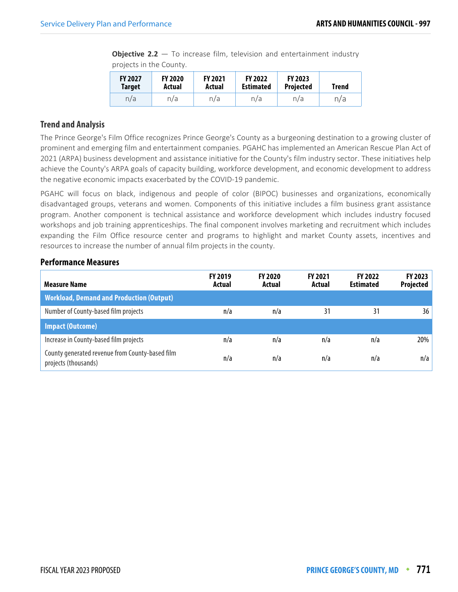**Objective 2.2** – To increase film, television and entertainment industry projects in the County.

| <b>FY 2027</b> | <b>FY 2020</b> | <b>FY 2021</b> | <b>FY 2022</b>   | <b>FY 2023</b>   | Trend |
|----------------|----------------|----------------|------------------|------------------|-------|
| <b>Target</b>  | Actual         | Actual         | <b>Estimated</b> | <b>Projected</b> |       |
| n/a            | n/a            | n/a            | n/a              | n/a              | n/a   |

#### **Trend and Analysis**

The Prince George's Film Office recognizes Prince George's County as a burgeoning destination to a growing cluster of prominent and emerging film and entertainment companies. PGAHC has implemented an American Rescue Plan Act of 2021 (ARPA) business development and assistance initiative for the County's film industry sector. These initiatives help achieve the County's ARPA goals of capacity building, workforce development, and economic development to address the negative economic impacts exacerbated by the COVID-19 pandemic.

PGAHC will focus on black, indigenous and people of color (BIPOC) businesses and organizations, economically disadvantaged groups, veterans and women. Components of this initiative includes a film business grant assistance program. Another component is technical assistance and workforce development which includes industry focused workshops and job training apprenticeships. The final component involves marketing and recruitment which includes expanding the Film Office resource center and programs to highlight and market County assets, incentives and resources to increase the number of annual film projects in the county.

| <b>Measure Name</b>                                                     | <b>FY 2019</b><br>Actual | <b>FY 2020</b><br>Actual | <b>FY 2021</b><br>Actual | <b>FY 2022</b><br><b>Estimated</b> | FY 2023<br>Projected |
|-------------------------------------------------------------------------|--------------------------|--------------------------|--------------------------|------------------------------------|----------------------|
| <b>Workload, Demand and Production (Output)</b>                         |                          |                          |                          |                                    |                      |
| Number of County-based film projects                                    | n/a                      | n/a                      | 31                       | 31                                 | 36                   |
| <b>Impact (Outcome)</b>                                                 |                          |                          |                          |                                    |                      |
| Increase in County-based film projects                                  | n/a                      | n/a                      | n/a                      | n/a                                | 20%                  |
| County generated revenue from County-based film<br>projects (thousands) | n/a                      | n/a                      | n/a                      | n/a                                | n/a                  |